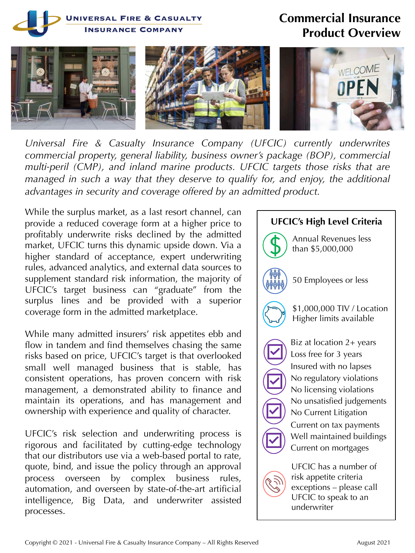

*Universal Fire & Casualty Insurance Company (UFCIC) currently underwrites commercial property, general liability, business owner's package (BOP), commercial multi-peril (CMP), and inland marine products. UFCIC targets those risks that are managed in such a way that they deserve to qualify for, and enjoy, the additional advantages in security and coverage offered by an admitted product.*

While the surplus market, as a last resort channel, can provide a reduced coverage form at a higher price to profitably underwrite risks declined by the admitted market, UFCIC turns this dynamic upside down. Via a higher standard of acceptance, expert underwriting rules, advanced analytics, and external data sources to supplement standard risk information, the majority of UFCIC's target business can "graduate" from the surplus lines and be provided with a superior coverage form in the admitted marketplace.

While many admitted insurers' risk appetites ebb and flow in tandem and find themselves chasing the same risks based on price, UFCIC's target is that overlooked small well managed business that is stable, has consistent operations, has proven concern with risk management, a demonstrated ability to finance and maintain its operations, and has management and ownership with experience and quality of character.

UFCIC's risk selection and underwriting process is rigorous and facilitated by cutting-edge technology that our distributors use via a web-based portal to rate, quote, bind, and issue the policy through an approval process overseen by complex business rules, automation, and overseen by state-of-the-art artificial intelligence, Big Data, and underwriter assisted processes.

## **UFCIC's High Level Criteria**

Annual Revenues less than \$5,000,000



50 Employees or less



\$1,000,000 TIV / Location Higher limits available

Biz at location 2+ years Loss free for 3 years Insured with no lapses No regulatory violations No licensing violations No unsatisfied judgements No Current Litigation Current on tax payments Well maintained buildings Current on mortgages

UFCIC has a number of risk appetite criteria exceptions – please call UFCIC to speak to an underwriter